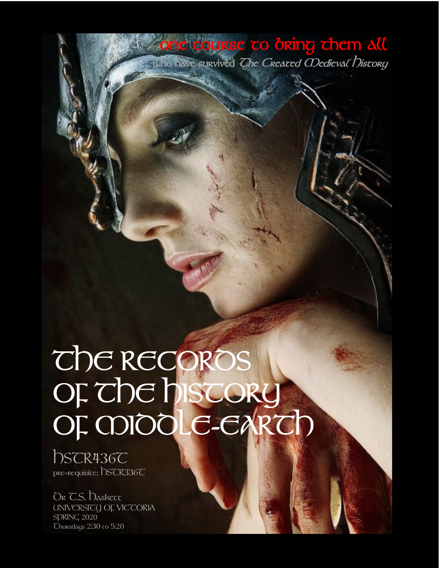## THE RECORDS OF THE HISTORY OF MIDDLE-EARTH

**one course to bring them all who have survived The Created Medieval History** 

hscr436C pre-requisite: DSCR336C

DR C.S. Daskett UNIVERSICU OF VICCORIA SDRING 2020 Thursdays 2:30 to 5:20